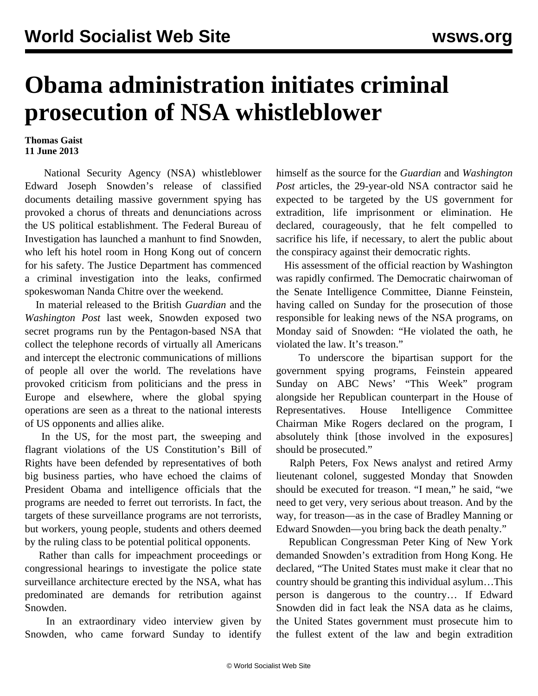## **Obama administration initiates criminal prosecution of NSA whistleblower**

## **Thomas Gaist 11 June 2013**

 National Security Agency (NSA) whistleblower Edward Joseph Snowden's release of classified documents detailing massive government spying has provoked a chorus of threats and denunciations across the US political establishment. The Federal Bureau of Investigation has launched a manhunt to find Snowden, who left his hotel room in Hong Kong out of concern for his safety. The Justice Department has commenced a criminal investigation into the leaks, confirmed spokeswoman Nanda Chitre over the weekend.

 In material released to the British *Guardian* and the *Washington Post* last week, Snowden exposed two secret programs run by the Pentagon-based NSA that collect the telephone records of virtually all Americans and intercept the electronic communications of millions of people all over the world. The revelations have provoked criticism from politicians and the press in Europe and elsewhere, where the global spying operations are seen as a threat to the national interests of US opponents and allies alike.

 In the US, for the most part, the sweeping and flagrant violations of the US Constitution's Bill of Rights have been defended by representatives of both big business parties, who have echoed the claims of President Obama and intelligence officials that the programs are needed to ferret out terrorists. In fact, the targets of these surveillance programs are not terrorists, but workers, young people, students and others deemed by the ruling class to be potential political opponents.

 Rather than calls for impeachment proceedings or congressional hearings to investigate the police state surveillance architecture erected by the NSA, what has predominated are demands for retribution against Snowden.

 In an extraordinary video interview given by Snowden, who came forward Sunday to identify himself as the source for the *Guardian* and *Washington Post* articles, the 29-year-old NSA contractor said he expected to be targeted by the US government for extradition, life imprisonment or elimination. He declared, courageously, that he felt compelled to sacrifice his life, if necessary, to alert the public about the conspiracy against their democratic rights.

 His assessment of the official reaction by Washington was rapidly confirmed. The Democratic chairwoman of the Senate Intelligence Committee, Dianne Feinstein, having called on Sunday for the prosecution of those responsible for leaking news of the NSA programs, on Monday said of Snowden: "He violated the oath, he violated the law. It's treason."

 To underscore the bipartisan support for the government spying programs, Feinstein appeared Sunday on ABC News' "This Week" program alongside her Republican counterpart in the House of Representatives. House Intelligence Committee Chairman Mike Rogers declared on the program, I absolutely think [those involved in the exposures] should be prosecuted."

 Ralph Peters, Fox News analyst and retired Army lieutenant colonel, suggested Monday that Snowden should be executed for treason. "I mean," he said, "we need to get very, very serious about treason. And by the way, for treason—as in the case of Bradley Manning or Edward Snowden—you bring back the death penalty."

 Republican Congressman Peter King of New York demanded Snowden's extradition from Hong Kong. He declared, "The United States must make it clear that no country should be granting this individual asylum…This person is dangerous to the country… If Edward Snowden did in fact leak the NSA data as he claims, the United States government must prosecute him to the fullest extent of the law and begin extradition